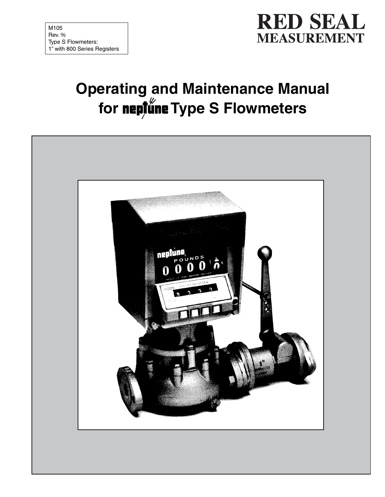

# **Operating and Maintenance Manual**  for **nepțǔne** Type S Flowmeters

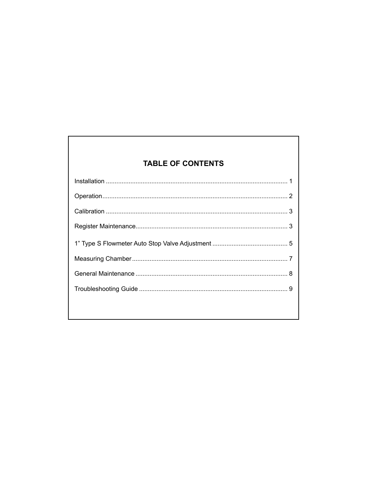# **TABLE OF CONTENTS**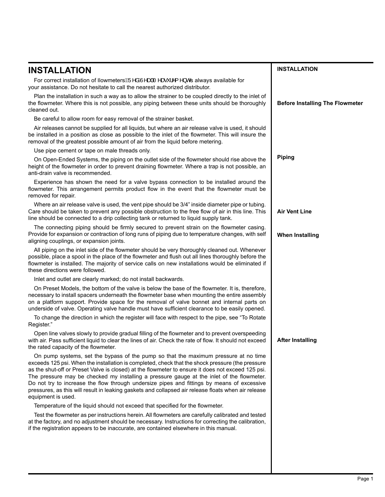| <b>INSTALLATION</b>                                                                                                                                                                                                                                                                                                                                                                                                                                                                                                                                                                                                  | <b>INSTALLATION</b>                    |
|----------------------------------------------------------------------------------------------------------------------------------------------------------------------------------------------------------------------------------------------------------------------------------------------------------------------------------------------------------------------------------------------------------------------------------------------------------------------------------------------------------------------------------------------------------------------------------------------------------------------|----------------------------------------|
| For correct installation of flowmeters, Red Seal Measurement is always available for<br>your assistance. Do not hesitate to call the nearest authorized distributor.                                                                                                                                                                                                                                                                                                                                                                                                                                                 |                                        |
| Plan the installation in such a way as to allow the strainer to be coupled directly to the inlet of<br>the flowmeter. Where this is not possible, any piping between these units should be thoroughly<br>cleaned out.                                                                                                                                                                                                                                                                                                                                                                                                | <b>Before Installing The Flowmeter</b> |
| Be careful to allow room for easy removal of the strainer basket.                                                                                                                                                                                                                                                                                                                                                                                                                                                                                                                                                    |                                        |
| Air releases cannot be supplied for all liquids, but where an air release valve is used, it should<br>be installed in a position as close as possible to the inlet of the flowmeter. This will insure the<br>removal of the greatest possible amount of air from the liquid before metering.                                                                                                                                                                                                                                                                                                                         |                                        |
| Use pipe cement or tape on male threads only.                                                                                                                                                                                                                                                                                                                                                                                                                                                                                                                                                                        |                                        |
| On Open-Ended Systems, the piping on the outlet side of the flowmeter should rise above the<br>height of the flowmeter in order to prevent draining flowmeter. Where a trap is not possible, an<br>anti-drain valve is recommended.                                                                                                                                                                                                                                                                                                                                                                                  | <b>Piping</b>                          |
| Experience has shown the need for a valve bypass connection to be installed around the<br>flowmeter. This arrangement permits product flow in the event that the flowmeter must be<br>removed for repair.                                                                                                                                                                                                                                                                                                                                                                                                            |                                        |
| Where an air release valve is used, the vent pipe should be 3/4" inside diameter pipe or tubing.<br>Care should be taken to prevent any possible obstruction to the free flow of air in this line. This<br>line should be connected to a drip collecting tank or returned to liquid supply tank.                                                                                                                                                                                                                                                                                                                     | <b>Air Vent Line</b>                   |
| The connecting piping should be firmly secured to prevent strain on the flowmeter casing.<br>Provide for expansion or contraction of long runs of piping due to temperature changes, with self<br>aligning couplings, or expansion joints.                                                                                                                                                                                                                                                                                                                                                                           | <b>When Installing</b>                 |
| All piping on the inlet side of the flowmeter should be very thoroughly cleaned out. Whenever<br>possible, place a spool in the place of the flowmeter and flush out all lines thoroughly before the<br>flowmeter is installed. The majority of service calls on new installations would be eliminated if<br>these directions were followed.                                                                                                                                                                                                                                                                         |                                        |
| Inlet and outlet are clearly marked; do not install backwards.                                                                                                                                                                                                                                                                                                                                                                                                                                                                                                                                                       |                                        |
| On Preset Models, the bottom of the valve is below the base of the flowmeter. It is, therefore,<br>necessary to install spacers underneath the flowmeter base when mounting the entire assembly<br>on a platform support. Provide space for the removal of valve bonnet and internal parts on<br>underside of valve. Operating valve handle must have sufficient clearance to be easily opened.                                                                                                                                                                                                                      |                                        |
| To change the direction in which the register will face with respect to the pipe, see "To Rotate<br>Register."                                                                                                                                                                                                                                                                                                                                                                                                                                                                                                       |                                        |
| Open line valves slowly to provide gradual filling of the flowmeter and to prevent overspeeding<br>with air. Pass sufficient liquid to clear the lines of air. Check the rate of flow. It should not exceed<br>the rated capacity of the flowmeter.                                                                                                                                                                                                                                                                                                                                                                  | <b>After Installing</b>                |
| On pump systems, set the bypass of the pump so that the maximum pressure at no time<br>exceeds 125 psi. When the installation is completed, check that the shock pressure (the pressure<br>as the shut-off or Preset Valve is closed) at the flowmeter to ensure it does not exceed 125 psi.<br>The pressure may be checked my installing a pressure gauge at the inlet of the flowmeter.<br>Do not try to increase the flow through undersize pipes and fittings by means of excessive<br>pressures, as this will result in leaking gaskets and collapsed air release floats when air release<br>equipment is used. |                                        |
| Temperature of the liquid should not exceed that specified for the flowmeter.                                                                                                                                                                                                                                                                                                                                                                                                                                                                                                                                        |                                        |
| Test the flowmeter as per instructions herein. All flowmeters are carefully calibrated and tested<br>at the factory, and no adjustment should be necessary. Instructions for correcting the calibration,<br>if the registration appears to be inaccurate, are contained elsewhere in this manual.                                                                                                                                                                                                                                                                                                                    |                                        |
|                                                                                                                                                                                                                                                                                                                                                                                                                                                                                                                                                                                                                      |                                        |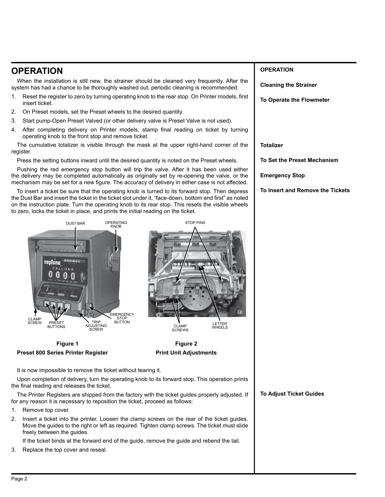# **OPERATION**

When the installation is still new, the strainer should be cleaned very frequently. After the system has had a chance to be thoroughly washed out, periodic cleaning is recommended.

- 1. Reset the register to zero by turning operating knob to the rear stop. On Printer models, first insert ticket.
- 2. On Preset models, set the Preset wheels to the desired quantity.
- 3. Start pump-Open Preset Valved (or other delivery valve is Preset Valve is not used).
- 4. After completing delivery on Printer models, stamp final reading on ticket by turning operating knob to the front stop and remove ticket.

The cumulative totalizer is visible through the mask at the upper right-hand corner of the register.

Press the setting buttons inward until the desired quantity is noted on the Preset wheels.

Pushing the red emergency stop button will trip the valve. After it has been used either the delivery may be completed automatically as originally set by re-opening the valve, or the mechanism may be set for a new figure. The accuracy of delivery in either case is not affected.

To insert a ticket be sure that the operating knob is turned to its forward stop. Then depress the Dust Bar and insert the ticket in the ticket slot under it, "face-down, bottom end first" as noted on the instruction plate. Turn the operating knob to its rear stop. This resets the visible wheels to zero, locks the ticket in place, and prints the initial reading on the ticket.



#### **OPERATION**

**Cleaning the Strainer**

**To Operate the Flowmeter**

**Totalizer**

**To Set the Preset Mechanism**

**Emergency Stop**

**To Insert and Remove the Tickets**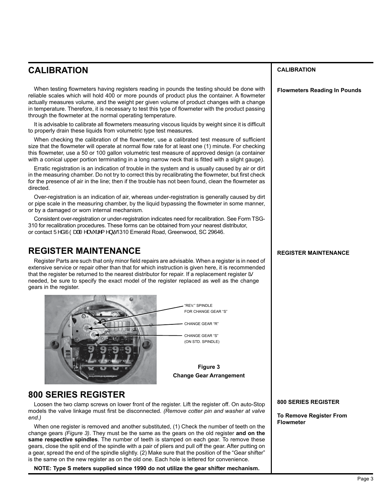| <b>CALIBRATION</b>                                                                                                                                                                                                                                                                                                                                                                                                                                                                                    | <b>CALIBRATION</b>                                                               |
|-------------------------------------------------------------------------------------------------------------------------------------------------------------------------------------------------------------------------------------------------------------------------------------------------------------------------------------------------------------------------------------------------------------------------------------------------------------------------------------------------------|----------------------------------------------------------------------------------|
| When testing flowmeters having registers reading in pounds the testing should be done with<br>reliable scales which will hold 400 or more pounds of product plus the container. A flowmeter<br>actually measures volume, and the weight per given volume of product changes with a change<br>in temperature. Therefore, it is necessary to test this type of flowmeter with the product passing<br>through the flowmeter at the normal operating temperature.                                         | <b>Flowmeters Reading In Pounds</b>                                              |
| It is advisable to calibrate all flowmeters measuring viscous liquids by weight since it is difficult<br>to properly drain these liquids from volumetric type test measures.                                                                                                                                                                                                                                                                                                                          |                                                                                  |
| When checking the calibration of the flowmeter, use a calibrated test measure of sufficient<br>size that the flowmeter will operate at normal flow rate for at least one (1) minute. For checking<br>this flowmeter, use a 50 or 100 gallon volumetric test measure of approved design (a container<br>with a conical upper portion terminating in a long narrow neck that is fitted with a slight gauge).                                                                                            |                                                                                  |
| Erratic registration is an indication of trouble in the system and is usually caused by air or dirt<br>in the measuring chamber. Do not try to correct this by recalibrating the flowmeter, but first check<br>for the presence of air in the line; then if the trouble has not been found, clean the flowmeter as<br>directed.                                                                                                                                                                       |                                                                                  |
| Over-registration is an indication of air, whereas under-registration is generally caused by dirt<br>or pipe scale in the measuring chamber, by the liquid bypassing the flowmeter in some manner,<br>or by a damaged or worn internal mechanism.                                                                                                                                                                                                                                                     |                                                                                  |
| Consistent over-registration or under-registration indicates need for recalibration. See Form TSG-<br>310 for recalibration procedures. These forms can be obtained from your nearest distributor,<br>or contact Red SEal Measurement, 1310 Emerald Road, Greenwood, SC 29646.                                                                                                                                                                                                                        |                                                                                  |
| <b>REGISTER MAINTENANCE</b><br>Register Parts are such that only minor field repairs are advisable. When a register is in need of<br>extensive service or repair other than that for which instruction is given here, it is recommended<br>that the register be returned to the nearest distributor for repair. If a replacement register is<br>needed, be sure to specify the exact model of the register replaced as well as the change<br>gears in the register.                                   | <b>REGISTER MAINTENANCE</b>                                                      |
| "REV." SPINDLE<br>FOR CHANGE GEAR "S"<br>CHANGE GEAR "R"<br><b>CHANGE GEAR "S"</b><br>(ON STD. SPINDLE)                                                                                                                                                                                                                                                                                                                                                                                               |                                                                                  |
| Figure 3<br><b>Change Gear Arrangement</b>                                                                                                                                                                                                                                                                                                                                                                                                                                                            |                                                                                  |
| <b>800 SERIES REGISTER</b>                                                                                                                                                                                                                                                                                                                                                                                                                                                                            |                                                                                  |
| Loosen the two clamp screws on lower front of the register. Lift the register off. On auto-Stop<br>models the valve linkage must first be disconnected. (Remove cotter pin and washer at valve<br>end.)<br>When one register is removed and another substituted, (1) Check the number of teeth on the                                                                                                                                                                                                 | <b>800 SERIES REGISTER</b><br><b>To Remove Register From</b><br><b>Flowmeter</b> |
| change gears (Figure 3). They must be the same as the gears on the old register and on the<br>same respective spindles. The number of teeth is stamped on each gear. To remove these<br>gears, close the split end of the spindle with a pair of pliers and pull off the gear. After putting on<br>a gear, spread the end of the spindle slightly. (2) Make sure that the position of the "Gear shifter"<br>is the same on the new register as on the old one. Each hole is lettered for convenience. |                                                                                  |
| NOTE: Type S meters supplied since 1990 do not utilize the gear shifter mechanism.                                                                                                                                                                                                                                                                                                                                                                                                                    |                                                                                  |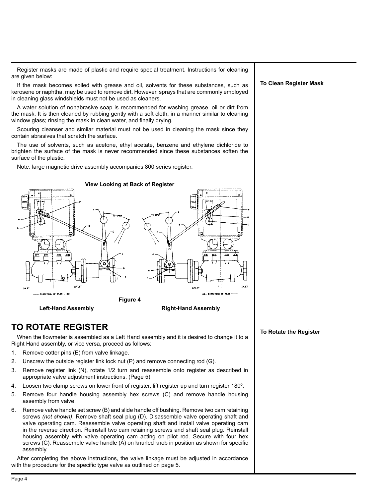

Register masks are made of plastic and require special treatment. Instructions for cleaning are given below:

If the mask becomes soiled with grease and oil, solvents for these substances, such as kerosene or naphtha, may be used to remove dirt. However, sprays that are commonly employed in cleaning glass windshields must not be used as cleaners.

A water solution of nonabrasive soap is recommended for washing grease, oil or dirt from the mask. It is then cleaned by rubbing gently with a soft cloth, in a manner similar to cleaning window glass; rinsing the mask in clean water, and finally drying.

Scouring cleanser and similar material must not be used in cleaning the mask since they contain abrasives that scratch the surface.

The use of solvents, such as acetone, ethyl acetate, benzene and ethylene dichloride to brighten the surface of the mask is never recommended since these substances soften the surface of the plastic.

Note: large magnetic drive assembly accompanies 800 series register.

# **TO ROTATE REGISTER**

IN.

When the flowmeter is assembled as a Left Hand assembly and it is desired to change it to a Right Hand assembly, or vice versa, proceed as follows:

- 1. Remove cotter pins (E) from valve linkage.
- 2. Unscrew the outside register link lock nut (P) and remove connecting rod (G).
- 3. Remove register link (N), rotate 1/2 turn and reassemble onto register as described in appropriate valve adjustment instructions. (Page 5)
- 4. Loosen two clamp screws on lower front of register, lift register up and turn register 180º.
- 5. Remove four handle housing assembly hex screws (C) and remove handle housing assembly from valve.
- 6. Remove valve handle set screw (B) and slide handle off bushing. Remove two cam retaining screws *(not shown)*. Remove shaft seal plug (D). Disassemble valve operating shaft and valve operating cam. Reassemble valve operating shaft and install valve operating cam in the reverse direction. Reinstall two cam retaining screws and shaft seal plug. Reinstall housing assembly with valve operating cam acting on pilot rod. Secure with four hex screws (C). Reassemble valve handle (A) on knurled knob in position as shown for specific assembly.

After completing the above instructions, the valve linkage must be adjusted in accordance with the procedure for the specific type valve as outlined on page 5.

**To Rotate the Register**

**To Clean Register Mask**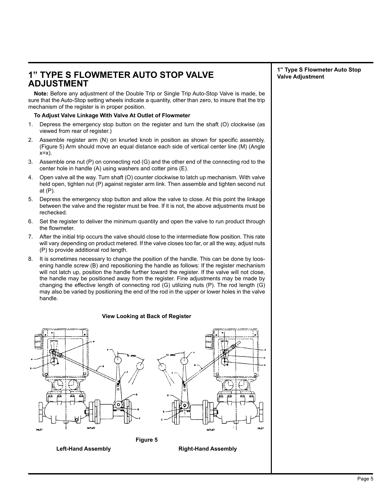# **1" TYPE S FLOWMETER AUTO STOP VALVE ADJUSTMENT**

**Note:** Before any adjustment of the Double Trip or Single Trip Auto-Stop Valve is made, be sure that the Auto-Stop setting wheels indicate a quantity, other than zero, to insure that the trip mechanism of the register is in proper position.

#### **To Adjust Valve Linkage With Valve At Outlet of Flowmeter**

- 1. Depress the emergency stop button on the register and turn the shaft (O) clockwise (as viewed from rear of register.)
- 2. Assemble register arm (N) on knurled knob in position as shown for specific assembly. (Figure 5) Arm should move an equal distance each side of vertical center line (M) (Angle  $x=x$ ).
- 3. Assemble one nut (P) on connecting rod (G) and the other end of the connecting rod to the center hole in handle (A) using washers and cotter pins (E).
- 4. Open valve all the way. Turn shaft (O) counter clockwise to latch up mechanism. With valve held open, tighten nut (P) against register arm link. Then assemble and tighten second nut at (P).
- 5. Depress the emergency stop button and allow the valve to close. At this point the linkage between the valve and the register must be free. If it is not, the above adjustments must be rechecked.
- 6. Set the register to deliver the minimum quantity and open the valve to run product through the flowmeter.
- 7. After the initial trip occurs the valve should close to the intermediate flow position. This rate will vary depending on product metered. If the valve closes too far, or all the way, adjust nuts (P) to provide additional rod length.
- 8. It is sometimes necessary to change the position of the handle. This can be done by loosening handle screw (B) and repositioning the handle as follows: If the register mechanism will not latch up, position the handle further toward the register. If the valve will not close, the handle may be positioned away from the register. Fine adjustments may be made by changing the effective length of connecting rod (G) utilizing nuts (P). The rod length (G) may also be varied by positioning the end of the rod in the upper or lower holes in the valve handle.

#### **View Looking at Back of Register**



**Left-Hand Assembly Right-Hand Assembly**

.<br>In Fi

**1" Type S Flowmeter Auto Stop Valve Adjustment**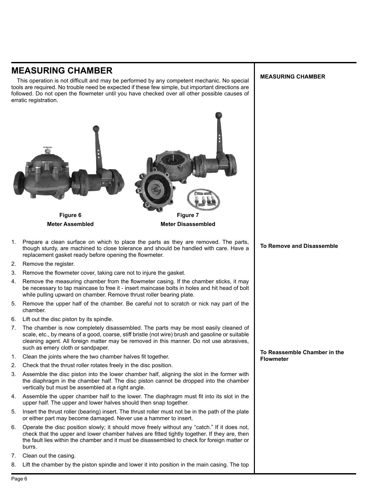### **MEASURING CHAMBER**

This operation is not difficult and may be performed by any competent mechanic. No special tools are required. No trouble need be expected if these few simple, but important directions are followed. Do not open the flowmeter until you have checked over all other possible causes of erratic registration.

#### **MEASURING CHAMBER**

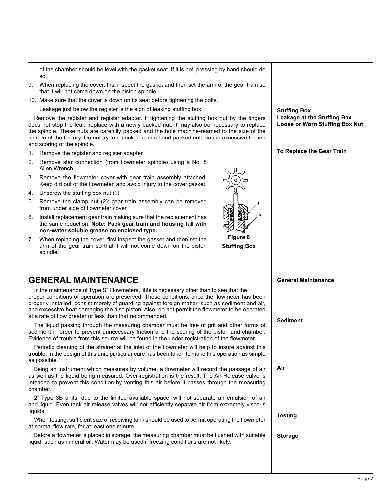of the chamber should be level with the gasket seat. If it is not, pressing by hand should do so.

- 9. When replacing the cover, first inspect the gasket and then set the arm of the gear train so that it will not come down on the piston spindle.
- 10. Make sure that the cover is down on its seat before tightening the bolts.

Leakage just below the register is the sign of leaking stuffing box.

Remove the register and register adapter. If tightening the stuffing box nut by the fingers does not stop the leak, replace with a newly packed nut. It may also be necessary to replace the spindle. These nuts are carefully packed and the hole machine-reamed to the size of the spindle at the factory. Do not try to repack because hand-packed nuts cause excessive friction and scoring of the spindle.

- 1. Remove the register and register adapter.
- 2. Remove star connection (from flowmeter spindle) using a No. 8 Allen Wrench.
- 3. Remove the flowmeter cover with gear train assembly attached. Keep dirt out of the flowmeter, and avoid injury to the cover gasket.
- 4. Unscrew the stuffing box nut (1).
- 5. Remove the clamp nut (2); gear train assembly can be removed from under side of flowmeter cover.
- 6. Install replacement gear train making sure that the replacement has the same reduction. **Note: Pack gear train and housing full with non-water soluble grease on enclosed type.**
- 7. When replacing the cover, first inspect the gasket and then set the arm of the gear train so that it will not come down on the piston spindle.

### **GENERAL MAINTENANCE**

In the maintenance of Type S" Flowmeters, little is necessary other than to see that the proper conditions of operation are preserved. These conditions, once the flowmeter has been properly installed, consist merely of guarding against foreign matter, such as sediment and air, and excessive heat damaging the disc piston. Also, do not permit the flowmeter to be operated at a rate of flow greater or less than that recommended.

The liquid passing through the measuring chamber must be free of grit and other forms of sediment in order to prevent unnecessary friction and the scoring of the piston and chamber. Evidence of trouble from this source will be found in the under-registration of the flowmeter.

Periodic cleaning of the strainer at the inlet of the flowmeter will help to insure against this trouble. In the design of this unit, particular care has been taken to make this operation as simple as possible.

Being an instrument which measures by volume, a flowmeter will record the passage of air as well as the liquid being measured. Over-registration is the result. The Air-Release valve is intended to prevent this condition by venting this air before it passes through the measuring chamber.

2" Type 3B units, due to the limited available space, will not separate an emulsion of air and liquid. Even tank air release valves will not efficiently separate air from extremely viscous liquids.

When testing, sufficient size of receiving tank should be used to permit operating the flowmeter at normal flow rate, for at least one minute.

Before a flowmeter is placed in storage, the measuring chamber must be flushed with suitable liquid, such as mineral oil. Water may be used if freezing conditions are not likely. **Storage**

**Stuffing Box Leakage at the Stuffing Box Loose or Worn Stuffing Box Nut**

**To Replace the Gear Train**

**Sediment**

**Air**

**Testing**

**General Maintenance**

**Figure 8 Stuffing Box**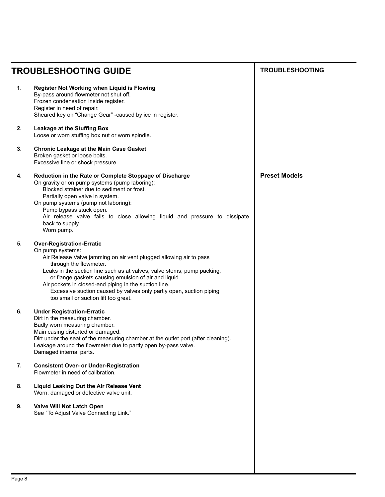| <b>TROUBLESHOOTING GUIDE</b> |                                                                                                                                                                                                                                                                                                                                                                                                                                                                  | <b>TROUBLESHOOTING</b> |
|------------------------------|------------------------------------------------------------------------------------------------------------------------------------------------------------------------------------------------------------------------------------------------------------------------------------------------------------------------------------------------------------------------------------------------------------------------------------------------------------------|------------------------|
| 1.                           | Register Not Working when Liquid is Flowing<br>By-pass around flowmeter not shut off.<br>Frozen condensation inside register.<br>Register in need of repair.<br>Sheared key on "Change Gear" -caused by ice in register.                                                                                                                                                                                                                                         |                        |
| 2.                           | <b>Leakage at the Stuffing Box</b><br>Loose or worn stuffing box nut or worn spindle.                                                                                                                                                                                                                                                                                                                                                                            |                        |
| 3.                           | <b>Chronic Leakage at the Main Case Gasket</b><br>Broken gasket or loose bolts.<br>Excessive line or shock pressure.                                                                                                                                                                                                                                                                                                                                             |                        |
| 4.                           | Reduction in the Rate or Complete Stoppage of Discharge<br>On gravity or on pump systems (pump laboring):<br>Blocked strainer due to sediment or frost.<br>Partially open valve in system.<br>On pump systems (pump not laboring):<br>Pump bypass stuck open.<br>Air release valve fails to close allowing liquid and pressure to dissipate<br>back to supply.<br>Worn pump.                                                                                     | <b>Preset Models</b>   |
| 5.                           | <b>Over-Registration-Erratic</b><br>On pump systems:<br>Air Release Valve jamming on air vent plugged allowing air to pass<br>through the flowmeter.<br>Leaks in the suction line such as at valves, valve stems, pump packing,<br>or flange gaskets causing emulsion of air and liquid.<br>Air pockets in closed-end piping in the suction line.<br>Excessive suction caused by valves only partly open, suction piping<br>too small or suction lift too great. |                        |
| 6.                           | <b>Under Registration-Erratic</b><br>Dirt in the measuring chamber.<br>Badly worn measuring chamber.<br>Main casing distorted or damaged.<br>Dirt under the seat of the measuring chamber at the outlet port (after cleaning).<br>Leakage around the flowmeter due to partly open by-pass valve.<br>Damaged internal parts.                                                                                                                                      |                        |
| 7.                           | <b>Consistent Over- or Under-Registration</b><br>Flowmeter in need of calibration.                                                                                                                                                                                                                                                                                                                                                                               |                        |
| 8.                           | Liquid Leaking Out the Air Release Vent<br>Worn, damaged or defective valve unit.                                                                                                                                                                                                                                                                                                                                                                                |                        |
| 9.                           | Valve Will Not Latch Open<br>See "To Adjust Valve Connecting Link."                                                                                                                                                                                                                                                                                                                                                                                              |                        |
|                              |                                                                                                                                                                                                                                                                                                                                                                                                                                                                  |                        |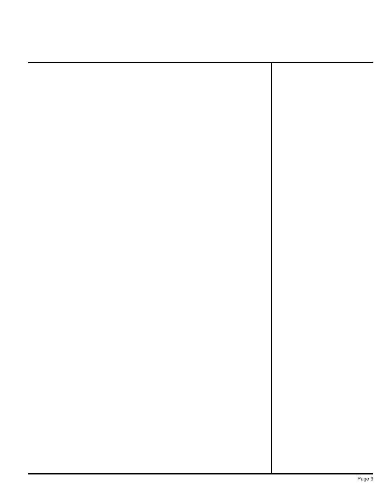Page 9